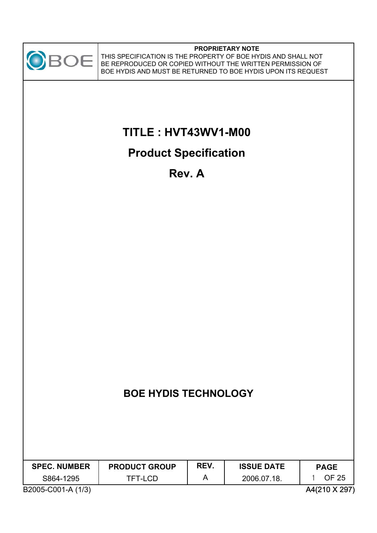

#### **PROPRIETARY NOTE**

THIS SPECIFICATION IS THE PROPERTY OF BOE HYDIS AND SHALL NOT BE REPRODUCED OR COPIED WITHOUT THE WRITTEN PERMISSION OF BOE HYDIS AND MUST BE RETURNED TO BOE HYDIS UPON ITS REQUEST

# **TITLE : HVT43WV1-M00**

# **Product Specification**

**Rev. A**

| <b>SPEC. NUMBER</b> | <b>PRODUCT GROUP</b> | REV. | <b>ISSUE DATE</b> | <b>PAGE</b> |
|---------------------|----------------------|------|-------------------|-------------|
| S864-1295           | TFT-LCD              |      | 2006.07.18.       | OF 25       |
| $R_{\alpha\alpha}$  |                      |      |                   |             |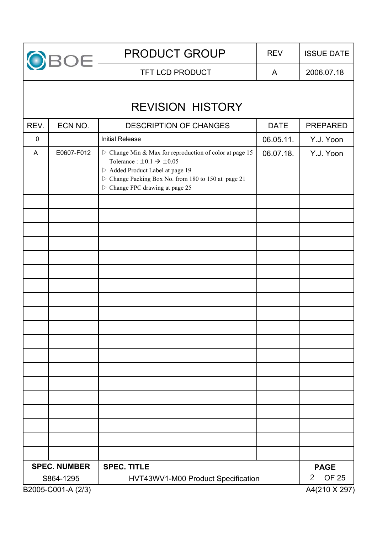

TFT LCD PRODUCT A 2006.07.18

# REVISION HISTORY

| REV.      | ECN NO.             | <b>DESCRIPTION OF CHANGES</b>                                                                                                                                                                                                                                                    | <b>DATE</b> | PREPARED                                    |
|-----------|---------------------|----------------------------------------------------------------------------------------------------------------------------------------------------------------------------------------------------------------------------------------------------------------------------------|-------------|---------------------------------------------|
| $\pmb{0}$ |                     | <b>Initial Release</b>                                                                                                                                                                                                                                                           | 06.05.11.   | Y.J. Yoon                                   |
| A         | E0607-F012          | $\triangleright$ Change Min & Max for reproduction of color at page 15<br>Tolerance : $\pm 0.1 \rightarrow \pm 0.05$<br>▷ Added Product Label at page 19<br>$\triangleright$ Change Packing Box No. from 180 to 150 at page 21<br>$\triangleright$ Change FPC drawing at page 25 | 06.07.18.   | Y.J. Yoon                                   |
|           |                     |                                                                                                                                                                                                                                                                                  |             |                                             |
|           |                     |                                                                                                                                                                                                                                                                                  |             |                                             |
|           |                     |                                                                                                                                                                                                                                                                                  |             |                                             |
|           |                     |                                                                                                                                                                                                                                                                                  |             |                                             |
|           |                     |                                                                                                                                                                                                                                                                                  |             |                                             |
|           |                     |                                                                                                                                                                                                                                                                                  |             |                                             |
|           |                     |                                                                                                                                                                                                                                                                                  |             |                                             |
|           |                     |                                                                                                                                                                                                                                                                                  |             |                                             |
|           |                     |                                                                                                                                                                                                                                                                                  |             |                                             |
|           |                     |                                                                                                                                                                                                                                                                                  |             |                                             |
|           |                     |                                                                                                                                                                                                                                                                                  |             |                                             |
|           |                     |                                                                                                                                                                                                                                                                                  |             |                                             |
|           |                     |                                                                                                                                                                                                                                                                                  |             |                                             |
|           |                     |                                                                                                                                                                                                                                                                                  |             |                                             |
|           |                     |                                                                                                                                                                                                                                                                                  |             |                                             |
|           |                     |                                                                                                                                                                                                                                                                                  |             |                                             |
|           |                     |                                                                                                                                                                                                                                                                                  |             |                                             |
|           |                     |                                                                                                                                                                                                                                                                                  |             |                                             |
|           | <b>SPEC. NUMBER</b> | <b>SPEC. TITLE</b>                                                                                                                                                                                                                                                               |             |                                             |
|           | S864-1295           | HVT43WV1-M00 Product Specification                                                                                                                                                                                                                                               |             | <b>PAGE</b><br><b>OF 25</b><br>$\mathbf{2}$ |
|           | B2005-C001-A (2/3)  |                                                                                                                                                                                                                                                                                  |             | A4(210 X 297)                               |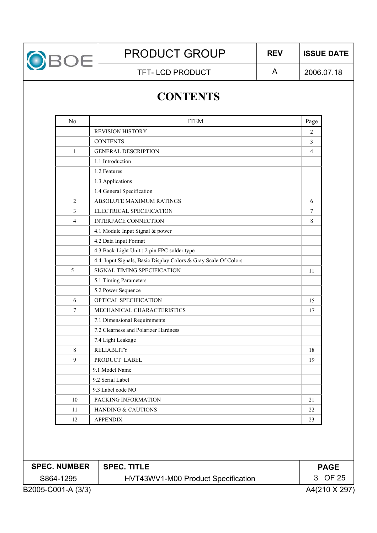

TFT-LCD PRODUCT A

2006.07.18

# **CONTENTS**

| No             | <b>ITEM</b>                                                    | Page           |
|----------------|----------------------------------------------------------------|----------------|
|                | <b>REVISION HISTORY</b>                                        | 2              |
|                | <b>CONTENTS</b>                                                | 3              |
| $\mathbf{1}$   | <b>GENERAL DESCRIPTION</b>                                     | $\overline{4}$ |
|                | 1.1 Introduction                                               |                |
|                | 1.2 Features                                                   |                |
|                | 1.3 Applications                                               |                |
|                | 1.4 General Specification                                      |                |
| $\overline{2}$ | ABSOLUTE MAXIMUM RATINGS                                       | 6              |
| 3              | ELECTRICAL SPECIFICATION                                       | 7              |
| $\overline{4}$ | <b>INTERFACE CONNECTION</b>                                    | 8              |
|                | 4.1 Module Input Signal & power                                |                |
|                | 4.2 Data Input Format                                          |                |
|                | 4.3 Back-Light Unit : 2 pin FPC solder type                    |                |
|                | 4.4 Input Signals, Basic Display Colors & Gray Scale Of Colors |                |
| 5              | SIGNAL TIMING SPECIFICATION                                    | 11             |
|                | 5.1 Timing Parameters                                          |                |
|                | 5.2 Power Sequence                                             |                |
| 6              | OPTICAL SPECIFICATION                                          | 15             |
| 7              | MECHANICAL CHARACTERISTICS                                     | 17             |
|                | 7.1 Dimensional Requirements                                   |                |
|                | 7.2 Clearness and Polarizer Hardness                           |                |
|                | 7.4 Light Leakage                                              |                |
| 8              | <b>RELIABLITY</b>                                              | 18             |
| 9              | PRODUCT LABEL                                                  | 19             |
|                | 9.1 Model Name                                                 |                |
|                | 9.2 Serial Label                                               |                |
|                | 9.3 Label code NO                                              |                |
| 10             | PACKING INFORMATION                                            | 21             |
| 11             | <b>HANDING &amp; CAUTIONS</b>                                  | 22             |
| 12             | <b>APPENDIX</b>                                                | 23             |

| <b>SPEC. NUMBER</b> | <b>SPEC. TITLE</b>                 | <b>PAGE</b>   |
|---------------------|------------------------------------|---------------|
| S864-1295           | HVT43WV1-M00 Product Specification | 3 OF 25       |
| B2005-C001-A (3/3)  |                                    | A4(210 X 297) |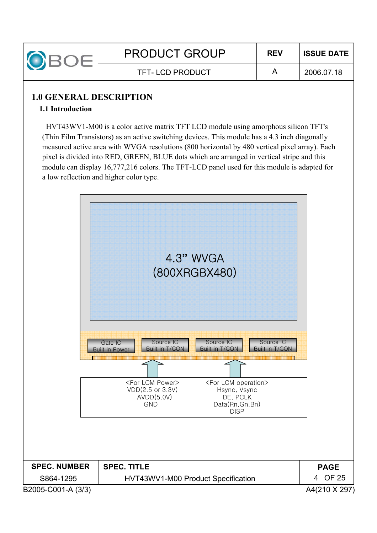

#### TFT-LCD PRODUCT A

#### **1.0 GENERAL DESCRIPTION**

#### **1.1 Introduction**

HVT43WV1-M00 is a color active matrix TFT LCD module using amorphous silicon TFT's (Thin Film Transistors) as an active switching devices. This module has a 4.3 inch diagonally measured active area with WVGA resolutions (800 horizontal by 480 vertical pixel array). Each pixel is divided into RED, GREEN, BLUE dots which are arranged in vertical stripe and this module can display 16,777,216 colors. The TFT-LCD panel used for this module is adapted for a low reflection and higher color type.

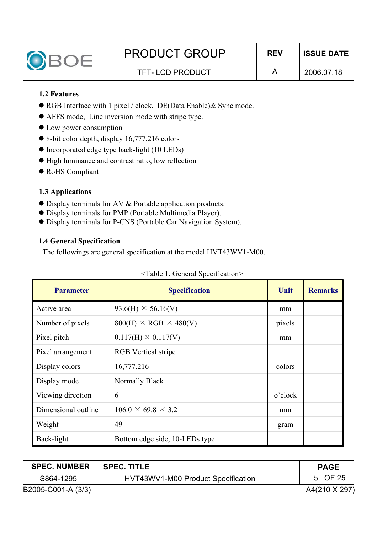| <b>BOE</b>                       | <b>PRODUCT GROUP</b>                                                       | <b>REV</b> | <b>ISSUE DATE</b> |
|----------------------------------|----------------------------------------------------------------------------|------------|-------------------|
|                                  | <b>TFT-LCD PRODUCT</b>                                                     | A          | 2006.07.18        |
| <b>1.2 Features</b>              |                                                                            |            |                   |
|                                  | $\bullet$ RGB Interface with 1 pixel / clock, DE(Data Enable) & Sync mode. |            |                   |
|                                  | • AFFS mode, Line inversion mode with stripe type.                         |            |                   |
| • Low power consumption          |                                                                            |            |                   |
|                                  | $\bullet$ 8-bit color depth, display 16,777,216 colors                     |            |                   |
|                                  | • Incorporated edge type back-light (10 LEDs)                              |            |                   |
|                                  | • High luminance and contrast ratio, low reflection                        |            |                   |
| • RoHS Compliant                 |                                                                            |            |                   |
| 1.3 Applications                 |                                                                            |            |                   |
|                                  | • Display terminals for AV & Portable application products.                |            |                   |
|                                  | • Display terminals for PMP (Portable Multimedia Player).                  |            |                   |
|                                  | • Display terminals for P-CNS (Portable Car Navigation System).            |            |                   |
| <b>1.4 General Specification</b> |                                                                            |            |                   |
|                                  | The followings are general specification at the model HVT43WV1-M00.        |            |                   |

| <b>Parameter</b>    | <b>Specification</b>               | Unit    | <b>Remarks</b> |
|---------------------|------------------------------------|---------|----------------|
| Active area         | $93.6(H) \times 56.16(V)$          | mm      |                |
| Number of pixels    | $800(H) \times RGB \times 480(V)$  | pixels  |                |
| Pixel pitch         | $0.117(H) \times 0.117(V)$         | mm      |                |
| Pixel arrangement   | <b>RGB</b> Vertical stripe         |         |                |
| Display colors      | 16,777,216                         | colors  |                |
| Display mode        | Normally Black                     |         |                |
| Viewing direction   | 6                                  | o'clock |                |
| Dimensional outline | $106.0 \times 69.8 \times 3.2$     | mm      |                |
| Weight              | 49                                 | gram    |                |
| Back-light          | Bottom edge side, 10-LEDs type     |         |                |
|                     |                                    |         |                |
| <b>SPEC. NUMBER</b> | <b>SPEC. TITLE</b>                 |         | <b>PAGE</b>    |
| S864-1295           | HVT43WV1-M00 Product Specification |         | 5 OF 25        |
| B2005-C001-A (3/3)  |                                    |         | A4(210 X 297)  |

#### <Table 1. General Specification>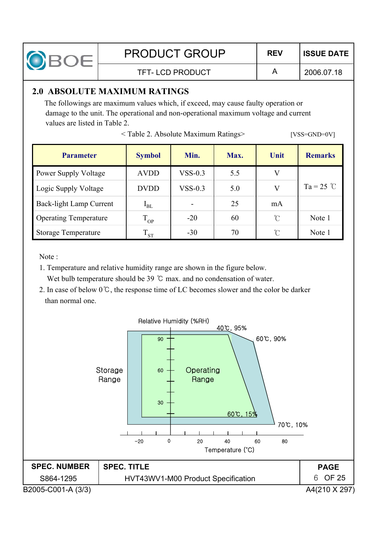

2006.07.18

#### TFT- LCD PRODUCT A

### **2.0 ABSOLUTE MAXIMUM RATINGS**

The followings are maximum values which, if exceed, may cause faulty operation or damage to the unit. The operational and non-operational maximum voltage and current values are listed in Table 2.

< Table 2. Absolute Maximum Ratings> [VSS=GND=0V]

| <b>Parameter</b>               | <b>Symbol</b> | Min.                     | Max. | Unit       | <b>Remarks</b> |
|--------------------------------|---------------|--------------------------|------|------------|----------------|
| <b>Power Supply Voltage</b>    | <b>AVDD</b>   | $VSS-0.3$                | 5.5  | V          |                |
| Logic Supply Voltage           | <b>DVDD</b>   | $VSS-0.3$                | 5.0  | V          | $Ta = 25$ °C   |
| <b>Back-light Lamp Current</b> | $I_{BL}$      | $\overline{\phantom{a}}$ | 25   | mA         |                |
| <b>Operating Temperature</b>   | $T_{OP}$      | $-20$                    | 60   | $\Upsilon$ | Note 1         |
| <b>Storage Temperature</b>     | $\rm T_{ST}$  | $-30$                    | 70   | n          | Note 1         |

Note :

- 1. Temperature and relative humidity range are shown in the figure below. Wet bulb temperature should be  $39^{\circ}$ C max. and no condensation of water.
- 2. In case of below  $0^{\circ}$ C, the response time of LC becomes slower and the color be darker than normal one.

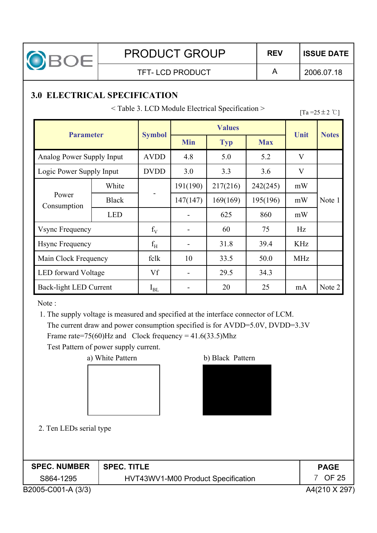

TFT-LCD PRODUCT A

2006.07.18

# **3.0 ELECTRICAL SPECIFICATION**

 $\leq$  Table 3. LCD Module Electrical Specification  $\geq$  [Ta =25 ± 2 °C]

| <b>Parameter</b>              |              | <b>Values</b> |                          |          | Unit       |              |              |
|-------------------------------|--------------|---------------|--------------------------|----------|------------|--------------|--------------|
|                               |              | <b>Symbol</b> | <b>Min</b><br><b>Typ</b> |          | <b>Max</b> |              | <b>Notes</b> |
| Analog Power Supply Input     |              | <b>AVDD</b>   | 4.8                      | 5.0      | 5.2        | $\mathbf{V}$ |              |
| Logic Power Supply Input      |              | <b>DVDD</b>   | 3.0                      | 3.3      | 3.6        | V            |              |
|                               | White        |               | 191(190)                 | 217(216) | 242(245)   | mW           |              |
| Power<br>Consumption          | <b>Black</b> |               | 147(147)                 | 169(169) | 195(196)   | mW           | Note 1       |
|                               | <b>LED</b>   |               |                          | 625      | 860        | mW           |              |
| <b>Vsync Frequency</b>        |              | $f_V$         |                          | 60       | 75         | Hz           |              |
| <b>Hsync Frequency</b>        |              | $f_H$         |                          | 31.8     | 39.4       | <b>KHz</b>   |              |
| Main Clock Frequency          |              | fclk          | 10                       | 33.5     | 50.0       | <b>MHz</b>   |              |
| <b>LED</b> forward Voltage    |              | Vf            |                          | 29.5     | 34.3       |              |              |
| <b>Back-light LED Current</b> |              | $I_{BL}$      |                          | 20       | 25         | mA           | Note 2       |

Note :

1. The supply voltage is measured and specified at the interface connector of LCM. The current draw and power consumption specified is for AVDD=5.0V, DVDD=3.3V Frame rate=75(60)Hz and Clock frequency =  $41.6(33.5)$ Mhz

Test Pattern of power supply current.

a) White Pattern b) Black Pattern





2. Ten LEDs serial type

| <b>SPEC. NUMBER</b> | <b>SPEC. TITLE</b>                 | <b>PAGE</b>   |
|---------------------|------------------------------------|---------------|
| S864-1295           | HVT43WV1-M00 Product Specification | OF 25         |
| B2005-C001-A (3/3)  |                                    | A4(210 X 297) |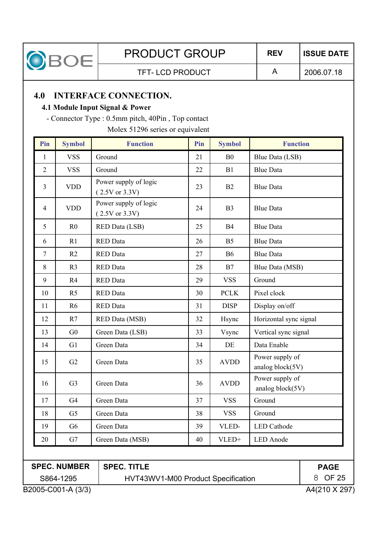

TFT- LCD PRODUCT A

2006.07.18

### **4.0 INTERFACE CONNECTION.**

#### **4.1 Module Input Signal & Power**

- Connector Type : 0.5mm pitch, 40Pin , Top contact

Molex 51296 series or equivalent

| Pin            | <b>Symbol</b>  | <b>Function</b>                         | Pin | <b>Symbol</b>  | <b>Function</b>                     |
|----------------|----------------|-----------------------------------------|-----|----------------|-------------------------------------|
| $\mathbf{1}$   | <b>VSS</b>     | Ground                                  | 21  | B <sub>0</sub> | Blue Data (LSB)                     |
| $\overline{2}$ | <b>VSS</b>     | Ground                                  | 22  | B1             | <b>Blue Data</b>                    |
| $\overline{3}$ | <b>VDD</b>     | Power supply of logic<br>(2.5V or 3.3V) | 23  | B2             | <b>Blue Data</b>                    |
| $\overline{4}$ | <b>VDD</b>     | Power supply of logic<br>(2.5V or 3.3V) | 24  | B <sub>3</sub> | <b>Blue Data</b>                    |
| 5              | R <sub>0</sub> | <b>RED Data (LSB)</b>                   | 25  | <b>B4</b>      | <b>Blue Data</b>                    |
| 6              | R1             | <b>RED</b> Data                         | 26  | B <sub>5</sub> | <b>Blue Data</b>                    |
| $\overline{7}$ | R2             | <b>RED</b> Data                         | 27  | <b>B6</b>      | <b>Blue Data</b>                    |
| 8              | R <sub>3</sub> | <b>RED</b> Data                         | 28  | B7             | Blue Data (MSB)                     |
| 9              | R <sub>4</sub> | <b>RED</b> Data                         | 29  | <b>VSS</b>     | Ground                              |
| 10             | R <sub>5</sub> | <b>RED</b> Data                         | 30  | <b>PCLK</b>    | Pixel clock                         |
| 11             | R6             | <b>RED</b> Data                         | 31  | <b>DISP</b>    | Display on/off                      |
| 12             | R7             | RED Data (MSB)                          | 32  | Hsync          | Horizontal sync signal              |
| 13             | G <sub>0</sub> | Green Data (LSB)                        | 33  | Vsync          | Vertical sync signal                |
| 14             | G1             | Green Data                              | 34  | DE             | Data Enable                         |
| 15             | G2             | Green Data                              | 35  | <b>AVDD</b>    | Power supply of<br>analog block(5V) |
| 16             | G <sub>3</sub> | Green Data                              | 36  | <b>AVDD</b>    | Power supply of<br>analog block(5V) |
| 17             | G <sub>4</sub> | Green Data                              | 37  | <b>VSS</b>     | Ground                              |
| 18             | G <sub>5</sub> | Green Data                              | 38  | <b>VSS</b>     | Ground                              |
| 19             | G <sub>6</sub> | Green Data                              | 39  | VLED-          | <b>LED</b> Cathode                  |
| 20             | G7             | Green Data (MSB)                        | 40  | VLED+          | <b>LED</b> Anode                    |

## **SPEC. NUMBER**

HVT43WV1-M00 Product Specification

**SPEC. TITLE**

**PAGE** 8 OF 25

S864-1295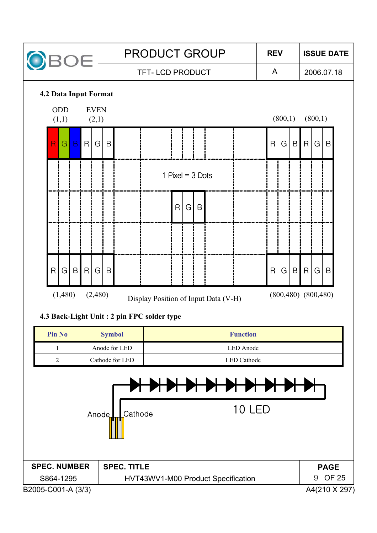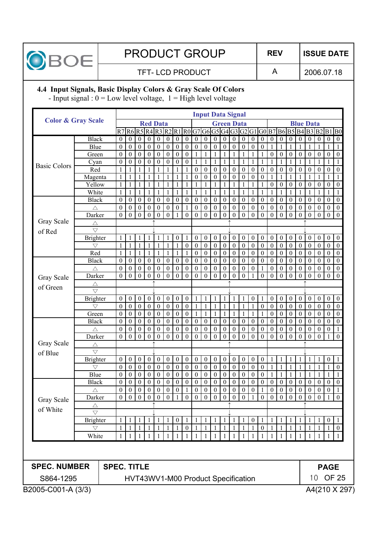

2006.07.18

#### TFT-LCD PRODUCT A

**4.4 Input Signals, Basic Display Colors & Gray Scale Of Colors**

- Input signal :  $0 = Low$  level voltage,  $1 = High$  level voltage

|                               |                                       |                    |                                                                                            |                                  |                                      |                                      |                              |                                      |                                      |                  |                      |                                      | <b>Input Data Signal</b>           |                                      |                                      |                                      |                                      |                      |                      |                                      |                                      |                                      |                              |                              |                                      |                                      |
|-------------------------------|---------------------------------------|--------------------|--------------------------------------------------------------------------------------------|----------------------------------|--------------------------------------|--------------------------------------|------------------------------|--------------------------------------|--------------------------------------|------------------|----------------------|--------------------------------------|------------------------------------|--------------------------------------|--------------------------------------|--------------------------------------|--------------------------------------|----------------------|----------------------|--------------------------------------|--------------------------------------|--------------------------------------|------------------------------|------------------------------|--------------------------------------|--------------------------------------|
| <b>Color &amp; Gray Scale</b> |                                       |                    | <b>Red Data</b><br>R7 R6 R5 R4 R3 R2 R1 R0 G7 G6 G5 G4 G3 G2 G1 G0 B7 B6 B5 B4 B3 B2 B1 B0 |                                  |                                      |                                      |                              |                                      |                                      |                  |                      | <b>Green Data</b>                    |                                    |                                      |                                      |                                      |                                      |                      |                      | <b>Blue Data</b>                     |                                      |                                      |                              |                              |                                      |                                      |
|                               |                                       |                    |                                                                                            |                                  |                                      |                                      |                              |                                      |                                      |                  |                      |                                      |                                    |                                      |                                      |                                      |                                      |                      |                      |                                      |                                      |                                      |                              |                              |                                      |                                      |
|                               | <b>Black</b>                          |                    | $\theta$                                                                                   | $\boldsymbol{0}$                 | $\boldsymbol{0}$                     | $\boldsymbol{0}$                     | $\boldsymbol{0}$             | $\boldsymbol{0}$                     | $\boldsymbol{0}$                     | $\boldsymbol{0}$ | $\theta$             | $\boldsymbol{0}$                     | $\boldsymbol{0}$                   | $\boldsymbol{0}$                     | $\boldsymbol{0}$                     | $\boldsymbol{0}$                     | $\boldsymbol{0}$                     | $\boldsymbol{0}$     | $\boldsymbol{0}$     | $\mathbf{0}$                         | $\boldsymbol{0}$                     | $\boldsymbol{0}$                     | $\boldsymbol{0}$             | $\boldsymbol{0}$             | $\boldsymbol{0}$                     | $\boldsymbol{0}$                     |
|                               | Blue                                  |                    | $\theta$                                                                                   | $\boldsymbol{0}$                 | $\boldsymbol{0}$                     | $\boldsymbol{0}$                     | $\boldsymbol{0}$             | $\boldsymbol{0}$                     | $\boldsymbol{0}$                     | $\boldsymbol{0}$ | $\theta$             | $\boldsymbol{0}$                     | $\boldsymbol{0}$                   | $\boldsymbol{0}$                     | $\boldsymbol{0}$                     | $\boldsymbol{0}$                     | $\boldsymbol{0}$                     | $\theta$             |                      | 1                                    | $\mathbf{1}$                         |                                      | 1                            | 1                            | 1                                    |                                      |
|                               | Green                                 |                    | $\theta$                                                                                   | $\boldsymbol{0}$                 | $\mathbf{0}$                         | $\boldsymbol{0}$                     | $\theta$                     | $\boldsymbol{0}$                     | $\boldsymbol{0}$                     | $\mathbf{0}$     | 1                    | 1                                    | 1                                  |                                      | 1                                    | 1                                    | $\mathbf{1}$                         |                      | $\theta$             | $\mathbf{0}$                         | $\boldsymbol{0}$                     | $\boldsymbol{0}$                     | $\boldsymbol{0}$             | $\boldsymbol{0}$             | $\boldsymbol{0}$                     | $\boldsymbol{0}$                     |
| <b>Basic Colors</b>           | Cyan                                  |                    | $\theta$                                                                                   | $\overline{0}$                   | $\mathbf{0}$                         | $\boldsymbol{0}$                     | $\boldsymbol{0}$             | $\boldsymbol{0}$                     | $\boldsymbol{0}$                     | $\mathbf{0}$     | $\mathbf{1}$         | 1                                    | 1                                  |                                      | 1                                    | 1                                    | $\mathbf{1}$                         |                      | 1                    |                                      | 1                                    |                                      | 1                            | 1                            | 1                                    |                                      |
|                               | Red                                   |                    | $\mathbf{1}$                                                                               | 1                                |                                      |                                      | 1                            | 1                                    | $\mathbf{1}$                         |                  | $\theta$             | $\boldsymbol{0}$                     | $\boldsymbol{0}$                   | $\boldsymbol{0}$                     | $\boldsymbol{0}$                     | $\boldsymbol{0}$                     | $\boldsymbol{0}$                     | $\theta$             | $\theta$             | $\boldsymbol{0}$                     | $\boldsymbol{0}$                     | $\boldsymbol{0}$                     | $\boldsymbol{0}$             | $\boldsymbol{0}$             | $\boldsymbol{0}$                     | $\boldsymbol{0}$                     |
|                               | Magenta                               |                    | $\mathbf{1}$                                                                               | 1                                |                                      | 1                                    | 1                            | 1                                    | $\mathbf{1}$                         |                  | $\overline{0}$       | $\overline{0}$                       | $\boldsymbol{0}$                   | $\boldsymbol{0}$                     | $\boldsymbol{0}$                     | $\boldsymbol{0}$                     | $\boldsymbol{0}$                     | $\theta$             |                      | 1                                    | 1                                    |                                      | 1                            | 1                            | 1                                    |                                      |
|                               | Yellow                                |                    | $\mathbf{1}$                                                                               | 1                                |                                      | 1                                    | 1                            | 1                                    | $\mathbf{1}$                         |                  | $\mathbf{1}$         | 1                                    | 1                                  |                                      | 1                                    | 1                                    | $\mathbf{1}$                         |                      | $\theta$             | $\boldsymbol{0}$                     | $\boldsymbol{0}$                     | $\boldsymbol{0}$                     | $\boldsymbol{0}$             | $\boldsymbol{0}$             | $\boldsymbol{0}$                     | $\boldsymbol{0}$                     |
|                               | White                                 |                    | $\mathbf{1}$                                                                               | 1                                | 1                                    | 1                                    | 1                            | 1                                    | $\mathbf{1}$                         |                  | 1                    | 1                                    | 1<br>$\boldsymbol{0}$              | 1                                    | 1                                    | 1                                    | $\mathbf{1}$                         |                      | 1                    | 1                                    | 1                                    |                                      | 1                            | 1                            | 1                                    |                                      |
|                               | <b>Black</b><br>$\triangle$           |                    | $\theta$<br>$\theta$                                                                       | $\boldsymbol{0}$<br>$\mathbf{0}$ | $\boldsymbol{0}$<br>$\boldsymbol{0}$ | $\boldsymbol{0}$<br>$\boldsymbol{0}$ | $\boldsymbol{0}$<br>$\theta$ | $\boldsymbol{0}$<br>$\boldsymbol{0}$ | $\boldsymbol{0}$<br>$\boldsymbol{0}$ | $\theta$         | $\theta$<br>$\theta$ | $\boldsymbol{0}$<br>$\boldsymbol{0}$ | $\boldsymbol{0}$                   | $\boldsymbol{0}$<br>$\boldsymbol{0}$ | $\boldsymbol{0}$<br>$\boldsymbol{0}$ | $\boldsymbol{0}$<br>$\boldsymbol{0}$ | $\boldsymbol{0}$<br>$\boldsymbol{0}$ | $\theta$<br>$\theta$ | $\theta$<br>$\theta$ | $\boldsymbol{0}$<br>$\boldsymbol{0}$ | $\boldsymbol{0}$<br>$\boldsymbol{0}$ | $\boldsymbol{0}$<br>$\boldsymbol{0}$ | $\boldsymbol{0}$<br>$\theta$ | $\mathbf{0}$<br>$\mathbf{0}$ | $\boldsymbol{0}$<br>$\boldsymbol{0}$ | $\boldsymbol{0}$<br>$\boldsymbol{0}$ |
|                               | Darker                                |                    | $\mathbf{0}$                                                                               | $\overline{0}$                   | $\boldsymbol{0}$                     | $\mathbf{0}$                         | $\boldsymbol{0}$             | $\boldsymbol{0}$                     | $\overline{1}$                       | $\mathbf{0}$     | $\theta$             | $\boldsymbol{0}$                     | $\boldsymbol{0}$                   | $\overline{0}$                       | $\boldsymbol{0}$                     | $\boldsymbol{0}$                     | $\boldsymbol{0}$                     | $\theta$             | $\boldsymbol{0}$     | $\mathbf{0}$                         | $\mathbf{0}$                         | $\theta$                             | $\mathbf{0}$                 | $\boldsymbol{0}$             | $\boldsymbol{0}$                     | $\mathbf{0}$                         |
| Gray Scale                    | $\triangle$                           |                    |                                                                                            |                                  |                                      |                                      |                              |                                      |                                      |                  |                      |                                      |                                    |                                      |                                      |                                      |                                      |                      |                      |                                      |                                      |                                      |                              |                              |                                      |                                      |
| of Red                        | $\bigtriangledown$                    |                    |                                                                                            |                                  |                                      |                                      |                              |                                      |                                      |                  |                      |                                      |                                    |                                      |                                      |                                      |                                      |                      |                      |                                      |                                      |                                      |                              |                              |                                      |                                      |
|                               | Brighter                              |                    | 1                                                                                          | $\mathbf{1}$                     |                                      |                                      | 1                            | 1                                    | $\boldsymbol{0}$                     |                  | $\theta$             | $\boldsymbol{0}$                     | $\boldsymbol{0}$                   | $\boldsymbol{0}$                     | $\boldsymbol{0}$                     | $\boldsymbol{0}$                     | $\boldsymbol{0}$                     | $\boldsymbol{0}$     | $\mathbf{0}$         | $\boldsymbol{0}$                     | $\boldsymbol{0}$                     | $\boldsymbol{0}$                     | $\boldsymbol{0}$             | $\boldsymbol{0}$             | $\boldsymbol{0}$                     | $\boldsymbol{0}$                     |
|                               | $\bigtriangledown$                    |                    | $\mathbf{1}$                                                                               | 1                                | $\mathbf{1}$                         | 1                                    | 1                            | $\mathbf{1}$                         | $\mathbf{1}$                         | $\boldsymbol{0}$ | $\theta$             | $\boldsymbol{0}$                     | $\boldsymbol{0}$                   | $\boldsymbol{0}$                     | $\boldsymbol{0}$                     | $\boldsymbol{0}$                     | $\boldsymbol{0}$                     | $\mathbf{0}$         | $\theta$             | $\mathbf{0}$                         | $\boldsymbol{0}$                     | $\boldsymbol{0}$                     | $\boldsymbol{0}$             | $\boldsymbol{0}$             | $\boldsymbol{0}$                     | $\boldsymbol{0}$                     |
|                               | Red                                   |                    | $\mathbf{1}$                                                                               | 1                                | 1                                    | 1                                    | 1                            | 1                                    | $\mathbf{1}$                         |                  | $\theta$             | $\boldsymbol{0}$                     | $\boldsymbol{0}$                   | $\boldsymbol{0}$                     | $\boldsymbol{0}$                     | $\boldsymbol{0}$                     | $\boldsymbol{0}$                     | $\theta$             | $\theta$             | $\boldsymbol{0}$                     | $\boldsymbol{0}$                     | $\boldsymbol{0}$                     | $\mathbf{0}$                 | $\mathbf{0}$                 | $\boldsymbol{0}$                     | $\boldsymbol{0}$                     |
|                               | <b>Black</b>                          |                    | $\theta$                                                                                   | $\mathbf{0}$                     | $\boldsymbol{0}$                     | $\boldsymbol{0}$                     | $\boldsymbol{0}$             | $\boldsymbol{0}$                     | $\boldsymbol{0}$                     | $\mathbf{0}$     | $\theta$             | $\mathbf{0}$                         | $\boldsymbol{0}$                   | $\boldsymbol{0}$                     | $\boldsymbol{0}$                     | $\boldsymbol{0}$                     | $\boldsymbol{0}$                     | $\theta$             | $\theta$             | $\boldsymbol{0}$                     | $\mathbf{0}$                         | $\mathbf{0}$                         | $\mathbf{0}$                 | $\mathbf{0}$                 | $\boldsymbol{0}$                     | $\theta$                             |
|                               | Δ                                     |                    | $\theta$                                                                                   | $\mathbf{0}$                     | $\boldsymbol{0}$                     | $\boldsymbol{0}$                     | $\boldsymbol{0}$             | $\boldsymbol{0}$                     | $\boldsymbol{0}$                     | $\mathbf{0}$     | $\theta$             | $\boldsymbol{0}$                     | $\boldsymbol{0}$                   | $\boldsymbol{0}$                     | $\boldsymbol{0}$                     | $\boldsymbol{0}$                     | $\boldsymbol{0}$                     |                      | $\theta$             | $\boldsymbol{0}$                     | $\boldsymbol{0}$                     | $\boldsymbol{0}$                     | $\theta$                     | $\boldsymbol{0}$             | $\boldsymbol{0}$                     | $\boldsymbol{0}$                     |
| Gray Scale                    | Darker                                |                    | $\mathbf{0}$                                                                               | $\overline{0}$                   | $\boldsymbol{0}$                     | $\mathbf{0}$                         | $\boldsymbol{0}$             | $\boldsymbol{0}$                     | $\boldsymbol{0}$                     | $\theta$         | $\theta$             | $\mathbf{0}$                         | $\boldsymbol{0}$                   | $\boldsymbol{0}$                     | $\boldsymbol{0}$                     | $\boldsymbol{0}$                     | $\mathbf{1}$                         | $\boldsymbol{0}$     | $\boldsymbol{0}$     | $\mathbf{0}$                         | $\mathbf{0}$                         | $\mathbf{0}$                         | $\theta$                     | $\boldsymbol{0}$             | $\boldsymbol{0}$                     | $\theta$                             |
| of Green                      | $\triangle$                           |                    |                                                                                            |                                  |                                      |                                      |                              |                                      |                                      |                  |                      |                                      |                                    |                                      |                                      |                                      |                                      |                      |                      |                                      |                                      |                                      |                              |                              |                                      |                                      |
|                               | $\bigtriangledown$                    |                    |                                                                                            |                                  |                                      |                                      |                              |                                      |                                      |                  |                      |                                      |                                    |                                      |                                      |                                      |                                      |                      |                      |                                      |                                      |                                      |                              |                              |                                      |                                      |
|                               | Brighter                              |                    | $\boldsymbol{0}$                                                                           | $\overline{0}$                   | $\boldsymbol{0}$                     | $\boldsymbol{0}$                     | $\boldsymbol{0}$             | $\boldsymbol{0}$                     | $\boldsymbol{0}$                     | $\boldsymbol{0}$ | 1                    |                                      |                                    |                                      | 1                                    | 1                                    | $\boldsymbol{0}$                     |                      | $\mathbf{0}$         | $\boldsymbol{0}$                     | $\boldsymbol{0}$                     | $\boldsymbol{0}$                     | $\boldsymbol{0}$             | $\boldsymbol{0}$             | $\boldsymbol{0}$                     | $\boldsymbol{0}$                     |
|                               | $\bigtriangledown$                    |                    | $\theta$                                                                                   | $\boldsymbol{0}$                 | $\mathbf{0}$                         | $\boldsymbol{0}$                     | $\boldsymbol{0}$             | $\boldsymbol{0}$                     | $\boldsymbol{0}$                     | $\mathbf{0}$     | 1                    | 1                                    | $\mathbf{1}$                       |                                      | $\mathbf{1}$                         | $\mathbf{1}$                         | $\mathbf{1}$                         | $\boldsymbol{0}$     | $\theta$             | $\boldsymbol{0}$                     | $\mathbf{0}$                         | $\boldsymbol{0}$                     | $\boldsymbol{0}$             | $\mathbf{0}$                 | $\boldsymbol{0}$                     | $\theta$                             |
|                               | Green                                 |                    | $\theta$                                                                                   | $\overline{0}$                   | $\mathbf{0}$                         | $\boldsymbol{0}$                     | $\boldsymbol{0}$             | $\boldsymbol{0}$                     | $\boldsymbol{0}$                     | $\mathbf{0}$     | 1                    | $\mathbf{1}$                         | $\mathbf{1}$                       | 1                                    | 1                                    | 1                                    | 1                                    |                      | $\theta$             | $\boldsymbol{0}$                     | $\mathbf{0}$                         | $\mathbf{0}$                         | $\mathbf{0}$                 | $\mathbf{0}$                 | $\boldsymbol{0}$                     | $\boldsymbol{0}$                     |
|                               | <b>Black</b>                          |                    | $\theta$                                                                                   | $\overline{0}$                   | $\mathbf{0}$                         | $\boldsymbol{0}$                     | $\boldsymbol{0}$             | $\boldsymbol{0}$                     | $\boldsymbol{0}$                     | $\mathbf{0}$     | $\theta$             | $\boldsymbol{0}$                     | $\boldsymbol{0}$                   | $\boldsymbol{0}$                     | $\boldsymbol{0}$                     | $\boldsymbol{0}$                     | $\boldsymbol{0}$                     | $\mathbf{0}$         | $\theta$             | $\boldsymbol{0}$                     | $\mathbf{0}$                         | $\mathbf{0}$                         | $\theta$                     | $\mathbf{0}$                 | $\boldsymbol{0}$                     | $\boldsymbol{0}$                     |
|                               | $\triangle$                           |                    | $\theta$                                                                                   | $\overline{0}$                   | $\mathbf{0}$                         | $\boldsymbol{0}$                     | $\theta$                     | $\mathbf{0}$                         | $\theta$                             | $\mathbf{0}$     | $\theta$             | $\boldsymbol{0}$                     | $\boldsymbol{0}$                   | $\boldsymbol{0}$                     | $\boldsymbol{0}$                     | $\boldsymbol{0}$                     | $\boldsymbol{0}$                     | $\theta$             | $\theta$             | $\boldsymbol{0}$                     | $\mathbf{0}$                         | $\boldsymbol{0}$                     | $\theta$                     | $\mathbf{0}$                 | $\boldsymbol{0}$                     |                                      |
| Gray Scale                    | Darker                                |                    | $\mathbf{0}$                                                                               | $\overline{0}$                   | $\boldsymbol{0}$                     | $\mathbf{0}$                         | $\boldsymbol{0}$             | $\boldsymbol{0}$                     | $\mathbf{0}$                         | $\theta$         | $\theta$             | $\boldsymbol{0}$                     | $\boldsymbol{0}$                   | $\boldsymbol{0}$                     | $\boldsymbol{0}$                     | $\boldsymbol{0}$                     | $\boldsymbol{0}$                     | $\theta$             | $\boldsymbol{0}$     | $\boldsymbol{0}$                     | $\mathbf{0}$                         | $\theta$                             | $\theta$                     | $\boldsymbol{0}$             | 1                                    | $\theta$                             |
|                               | $\triangle$                           |                    |                                                                                            |                                  |                                      |                                      |                              |                                      |                                      |                  |                      |                                      |                                    |                                      |                                      |                                      |                                      |                      |                      |                                      |                                      |                                      |                              |                              |                                      |                                      |
| of Blue                       | $\bigtriangledown$<br><b>Brighter</b> |                    | $\boldsymbol{0}$                                                                           | $\overline{0}$                   | $\boldsymbol{0}$                     | $\boldsymbol{0}$                     | $\boldsymbol{0}$             | $\boldsymbol{0}$                     | $\boldsymbol{0}$                     | $\boldsymbol{0}$ | $\mathbf{0}$         | $\overline{0}$                       | $\boldsymbol{0}$                   | $\boldsymbol{0}$                     | $\boldsymbol{0}$                     | $\boldsymbol{0}$                     | $\boldsymbol{0}$                     | $\mathbf{0}$         | 1                    | 1                                    | 1                                    |                                      | 1                            | $\mathbf{1}$                 | $\boldsymbol{0}$                     | 1                                    |
|                               | $\bigtriangledown$                    |                    | $\theta$                                                                                   | $\boldsymbol{0}$                 | $\boldsymbol{0}$                     | $\boldsymbol{0}$                     | $\boldsymbol{0}$             | $\boldsymbol{0}$                     | $\boldsymbol{0}$                     | $\boldsymbol{0}$ | $\theta$             | $\boldsymbol{0}$                     | $\boldsymbol{0}$                   | $\boldsymbol{0}$                     | $\boldsymbol{0}$                     | $\boldsymbol{0}$                     | $\boldsymbol{0}$                     | $\mathbf{0}$         | 1                    | 1                                    | $\mathbf{1}$                         | 1                                    | 1                            | 1                            | $\mathbf{1}$                         | $\boldsymbol{0}$                     |
|                               | Blue                                  |                    | $\theta$                                                                                   | $\boldsymbol{0}$                 | $\boldsymbol{0}$                     | $\boldsymbol{0}$                     | $\boldsymbol{0}$             | $\boldsymbol{0}$                     | $\boldsymbol{0}$                     | $\boldsymbol{0}$ | $\theta$             | $\boldsymbol{0}$                     | $\boldsymbol{0}$                   | $\boldsymbol{0}$                     | $\boldsymbol{0}$                     | $\boldsymbol{0}$                     | $\boldsymbol{0}$                     | $\mathbf{0}$         |                      | 1                                    | 1                                    | 1                                    | 1                            | 1                            | 1                                    |                                      |
|                               | <b>Black</b>                          |                    | $\theta$                                                                                   | $\overline{0}$                   | $\mathbf{0}$                         | $\boldsymbol{0}$                     | $\theta$                     | $\theta$                             | $\theta$                             | $\theta$         | $\boldsymbol{0}$     | $\overline{0}$                       | $\overline{0}$                     | $\boldsymbol{0}$                     | $\boldsymbol{0}$                     | $\boldsymbol{0}$                     | $\boldsymbol{0}$                     | $\theta$             | $\theta$             | $\mathbf{0}$                         | $\overline{0}$                       | $\mathbf{0}$                         | $\theta$                     | $\mathbf{0}$                 | $\boldsymbol{0}$                     | $\boldsymbol{0}$                     |
|                               | $\triangle$                           |                    | $\mathbf{0}$                                                                               | $\boldsymbol{0}$                 | $\boldsymbol{0}$                     | $\boldsymbol{0}$                     | $\boldsymbol{0}$             | $\boldsymbol{0}$                     | $\boldsymbol{0}$                     |                  | $\theta$             | $\overline{0}$                       | $\boldsymbol{0}$                   | $\boldsymbol{0}$                     | $\boldsymbol{0}$                     | $\boldsymbol{0}$                     | $\boldsymbol{0}$                     |                      | $\boldsymbol{0}$     | $\mathbf{0}$                         | $\boldsymbol{0}$                     | $\boldsymbol{0}$                     | $\boldsymbol{0}$             | $\boldsymbol{0}$             | $\boldsymbol{0}$                     |                                      |
|                               | Darker                                |                    |                                                                                            |                                  |                                      |                                      |                              |                                      |                                      |                  |                      |                                      |                                    |                                      |                                      |                                      |                                      |                      |                      |                                      |                                      |                                      |                              |                              |                                      |                                      |
| Gray Scale                    | Δ                                     |                    |                                                                                            |                                  |                                      |                                      |                              |                                      |                                      |                  |                      |                                      |                                    |                                      |                                      |                                      |                                      |                      |                      |                                      |                                      |                                      |                              |                              |                                      |                                      |
| of White                      | $\bigtriangledown$                    |                    |                                                                                            |                                  |                                      |                                      |                              |                                      |                                      |                  |                      |                                      |                                    |                                      |                                      |                                      |                                      |                      |                      |                                      |                                      |                                      |                              |                              |                                      |                                      |
|                               | <b>Brighter</b>                       |                    |                                                                                            |                                  |                                      |                                      |                              |                                      | $\boldsymbol{0}$                     |                  |                      |                                      |                                    |                                      |                                      |                                      | $\boldsymbol{0}$                     |                      |                      |                                      |                                      |                                      |                              |                              | $\boldsymbol{0}$                     |                                      |
|                               | $\bigtriangledown$                    |                    |                                                                                            | 1                                |                                      |                                      | 1                            | 1                                    | -1                                   | $\boldsymbol{0}$ |                      |                                      |                                    |                                      |                                      |                                      | -1                                   | $\boldsymbol{0}$     |                      |                                      | 1                                    |                                      |                              | 1                            | $\mathbf{1}$                         | $\theta$                             |
| White                         |                                       |                    | 1                                                                                          | 1                                |                                      |                                      |                              | 1                                    |                                      |                  |                      |                                      |                                    |                                      |                                      |                                      |                                      |                      |                      |                                      |                                      |                                      |                              | 1                            | $\mathbf{1}$                         |                                      |
|                               |                                       |                    |                                                                                            |                                  |                                      |                                      |                              |                                      |                                      |                  |                      |                                      |                                    |                                      |                                      |                                      |                                      |                      |                      |                                      |                                      |                                      |                              |                              |                                      |                                      |
| <b>SPEC. NUMBER</b>           |                                       | <b>SPEC. TITLE</b> |                                                                                            |                                  |                                      |                                      |                              |                                      |                                      |                  |                      |                                      |                                    |                                      |                                      |                                      |                                      |                      |                      |                                      |                                      |                                      |                              |                              | <b>PAGE</b>                          |                                      |
| S864-1295                     |                                       |                    |                                                                                            |                                  |                                      |                                      |                              |                                      |                                      |                  |                      |                                      | HVT43WV1-M00 Product Specification |                                      |                                      |                                      |                                      |                      |                      |                                      |                                      |                                      |                              |                              | 10 OF 25                             |                                      |
| B2005-C001-A (3/3)            |                                       |                    |                                                                                            |                                  |                                      |                                      |                              |                                      |                                      |                  |                      |                                      |                                    |                                      |                                      |                                      |                                      |                      |                      |                                      |                                      |                                      |                              |                              | A4(210 X 297)                        |                                      |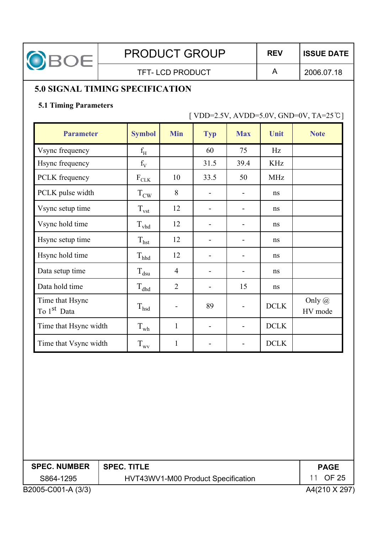

TFT-LCD PRODUCT A

2006.07.18

# **5.0 SIGNAL TIMING SPECIFICATION**

#### **5.1 Timing Parameters**

 $[ VDD=2.5V, AVDD=5.0V, GND=0V, TA=25°C]$ 

| <b>Parameter</b>                           | <b>Symbol</b>    | <b>Min</b>     | <b>Typ</b>               | <b>Max</b>               | Unit        | <b>Note</b>              |
|--------------------------------------------|------------------|----------------|--------------------------|--------------------------|-------------|--------------------------|
| Vsync frequency                            | $\rm f_{H}$      |                | 60                       | 75                       | Hz          |                          |
| Hsync frequency                            | $f_V$            |                | 31.5                     | 39.4                     | <b>KHz</b>  |                          |
| PCLK frequency                             | $F_{CLK}$        | 10             | 33.5                     | 50                       | <b>MHz</b>  |                          |
| PCLK pulse width                           | $T_{\text{CW}}$  | 8              |                          |                          | ns          |                          |
| Vsync setup time                           | $T_{\text{vst}}$ | 12             | -                        |                          | ns          |                          |
| Vsync hold time                            | $\rm T_{vhd}$    | 12             |                          |                          | ns          |                          |
| Hsync setup time                           | $T_{\text{hst}}$ | 12             | $\blacksquare$           |                          | ns          |                          |
| Hsync hold time                            | $\rm T_{hhd}$    | 12             | $\overline{a}$           |                          | ns          |                          |
| Data setup time                            | $T_{dsu}$        | $\overline{4}$ | $\overline{\phantom{a}}$ | -                        | ns          |                          |
| Data hold time                             | $\rm T_{dhd}$    | $\overline{2}$ | $\overline{a}$           | 15                       | ns          |                          |
| Time that Hsync<br>To 1 <sup>st</sup> Data | $T_{hsd}$        | $\overline{a}$ | 89                       | $\overline{a}$           | DCLK        | Only $\omega$<br>HV mode |
| Time that Hsync width                      | $T_{wh}$         | $\mathbf{1}$   | $\overline{\phantom{a}}$ | $\overline{\phantom{0}}$ | <b>DCLK</b> |                          |
| Time that Vsync width                      | $T_{\rm wv}$     | $\mathbf{1}$   |                          |                          | <b>DCLK</b> |                          |

| <b>SPEC. NUMBER</b> | $\mid$ SPEC. TITLE                 | <b>PAGE</b>  |
|---------------------|------------------------------------|--------------|
| S864-1295           | HVT43WV1-M00 Product Specification | 11 OF 25     |
| B2005-C001-A (3/3)  |                                    | A4(210 X 297 |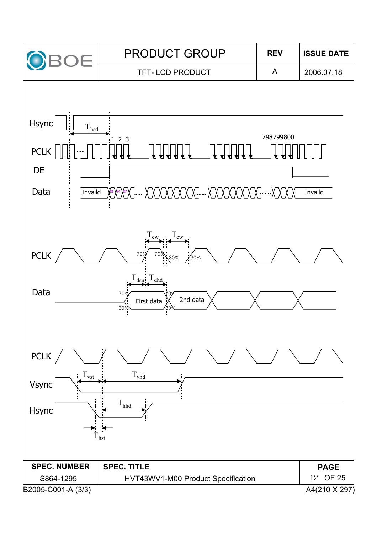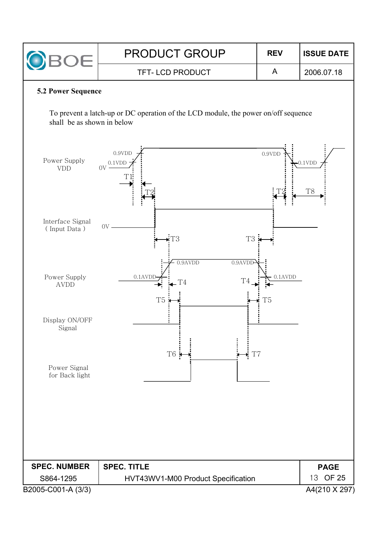| <b>PRODUCT GROUP</b>   | <b>REV</b> | <b>ISSUE DATE</b> |
|------------------------|------------|-------------------|
| <b>TFT-LCD PRODUCT</b> |            | 2006.07.18        |

#### **5.2 Power Sequence**

To prevent a latch-up or DC operation of the LCD module, the power on/off sequence shall be as shown in below

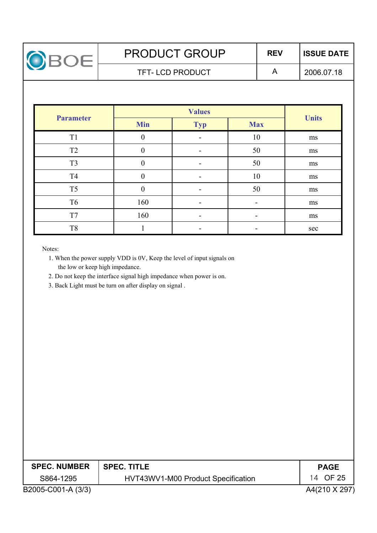

2006.07.18

| <b>Parameter</b> | <b>Min</b>       | <b>Typ</b> | <b>Max</b> | <b>Units</b> |
|------------------|------------------|------------|------------|--------------|
| T <sub>1</sub>   | 0                |            | 10         | ms           |
| T <sub>2</sub>   |                  |            | 50         | ms           |
| T <sub>3</sub>   | $\boldsymbol{0}$ |            | 50         | ms           |
| T <sub>4</sub>   | 0                |            | 10         | ms           |
| T <sub>5</sub>   |                  |            | 50         | ms           |
| T <sub>6</sub>   | 160              | ۰          |            | ms           |
| T7               | 160              |            |            | ms           |
| T <sub>8</sub>   |                  |            |            | sec          |

Notes:

- 1. When the power supply VDD is 0V, Keep the level of input signals on the low or keep high impedance.
- 2. Do not keep the interface signal high impedance when power is on.
- 3. Back Light must be turn on after display on signal .

| <b>SPEC. NUMBER</b> | <b>SPEC. TITLE</b>                 | <b>PAGE</b>   |
|---------------------|------------------------------------|---------------|
| S864-1295           | HVT43WV1-M00 Product Specification | 14 OF 25      |
| B2005-C001-A (3/3)  |                                    | A4(210 X 297) |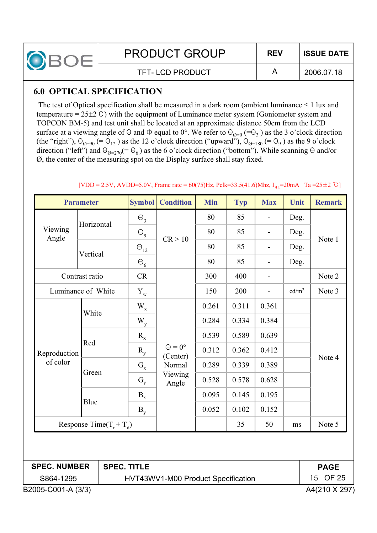

### **6.0 OPTICAL SPECIFICATION**

The test of Optical specification shall be measured in a dark room (ambient luminance  $\leq 1$  lux and temperature =  $25\pm2$ °C) with the equipment of Luminance meter system (Goniometer system and TOPCON BM-5) and test unit shall be located at an approximate distance 50cm from the LCD surface at a viewing angle of  $\Theta$  and  $\Phi$  equal to  $0^{\circ}$ . We refer to  $\Theta_{\Theta=0}$  (= $\Theta_3$ ) as the 3 o'clock direction (the "right"),  $\Theta_{\mathcal{O}=90}$  (=  $\Theta_{12}$ ) as the 12 o'clock direction ("upward"),  $\Theta_{\mathcal{O}=180}$  (=  $\Theta_{9}$ ) as the 9 o'clock direction ("left") and  $\Theta_{Q=270}(=\Theta_6)$  as the 6 o'clock direction ("bottom"). While scanning  $\Theta$  and/or Ø, the center of the measuring spot on the Display surface shall stay fixed.

|                     | <b>Parameter</b>             |                    | <b>Symbol</b>                                  | <b>Condition</b>                 | <b>Min</b> | <b>Typ</b> | <b>Max</b>               | Unit              | <b>Remark</b> |
|---------------------|------------------------------|--------------------|------------------------------------------------|----------------------------------|------------|------------|--------------------------|-------------------|---------------|
|                     | Horizontal                   |                    | $\Theta_{3}$                                   |                                  | 80         | 85         |                          | Deg.              |               |
| Viewing<br>Angle    |                              |                    | $\Theta$ <sub>9</sub>                          | CR > 10                          | 80         | 85         | $\overline{\phantom{0}}$ | Deg.              | Note 1        |
|                     | Vertical                     |                    | $\Theta_{12}$                                  |                                  | 80         | 85         | -                        | Deg.              |               |
|                     |                              |                    | $\Theta_6$                                     |                                  | 80         | 85         | $\overline{\phantom{0}}$ | Deg.              |               |
|                     | Contrast ratio               |                    | CR                                             |                                  | 300        | 400        | $\overline{\phantom{0}}$ |                   | Note 2        |
| Luminance of White  |                              |                    | $Y_{w}$                                        |                                  | 150        | 200        | $\overline{a}$           | cd/m <sup>2</sup> | Note 3        |
|                     | White                        |                    | $W_{x}$                                        |                                  | 0.261      | 0.311      | 0.361                    |                   |               |
|                     |                              |                    | $W_{y}$                                        |                                  | 0.284      | 0.334      | 0.384                    |                   |               |
|                     |                              |                    | $R_{x}$                                        | $\Theta = 0^{\circ}$<br>(Center) | 0.539      | 0.589      | 0.639                    |                   |               |
| Reproduction        | Red                          |                    | $R_{y}$                                        |                                  | 0.312      | 0.362      | 0.412                    |                   |               |
| of color            |                              |                    | $G_{x}$                                        | Normal                           | 0.289      | 0.339      | 0.389                    |                   | Note 4        |
|                     | Green                        |                    | $G_{v}$                                        | Viewing<br>Angle                 | 0.528      | 0.578      | 0.628                    |                   |               |
|                     |                              |                    | $B_{x}$                                        |                                  | 0.095      | 0.145      | 0.195                    |                   |               |
|                     | Blue                         |                    | $B_{v}$                                        |                                  | 0.052      | 0.102      | 0.152                    |                   |               |
|                     | Response Time( $T_r + T_d$ ) |                    |                                                |                                  |            | 35         | 50                       | ms                | Note 5        |
|                     |                              |                    |                                                |                                  |            |            |                          |                   |               |
| <b>SPEC. NUMBER</b> |                              | <b>SPEC. TITLE</b> |                                                |                                  |            |            |                          |                   | <b>PAGE</b>   |
| S864-1295           |                              |                    | 15 OF 25<br>HVT43WV1-M00 Product Specification |                                  |            |            |                          |                   |               |

#### $[VDD = 2.5V, AVDD = 5.0V, Frame rate = 60(75)Hz, Pclk = 33.5(41.6)Mhz, I<sub>BI</sub> = 20mA$  Ta = 25 ± 2 °C ]

B2005-C001-A (3/3) A4(210 X 297)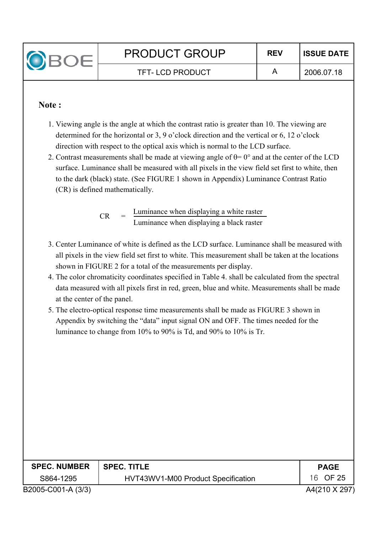

#### **Note :**

- 1. Viewing angle is the angle at which the contrast ratio is greater than 10. The viewing are determined for the horizontal or 3, 9 o'clock direction and the vertical or 6, 12 o'clock direction with respect to the optical axis which is normal to the LCD surface.
- 2. Contrast measurements shall be made at viewing angle of  $\theta$ = 0° and at the center of the LCD surface. Luminance shall be measured with all pixels in the view field set first to white, then to the dark (black) state. (See FIGURE 1 shown in Appendix) Luminance Contrast Ratio (CR) is defined mathematically.

Luminance when displaying a white raster Luminance when displaying a black raster  $CR$ 

- 3. Center Luminance of white is defined as the LCD surface. Luminance shall be measured with all pixels in the view field set first to white. This measurement shall be taken at the locations shown in FIGURE 2 for a total of the measurements per display.
- 4. The color chromaticity coordinates specified in Table 4. shall be calculated from the spectral data measured with all pixels first in red, green, blue and white. Measurements shall be made at the center of the panel.
- 5. The electro-optical response time measurements shall be made as FIGURE 3 shown in Appendix by switching the "data" input signal ON and OFF. The times needed for the luminance to change from 10% to 90% is Td, and 90% to 10% is Tr.

| <b>SPEC. NUMBER</b> | <b>SPEC. TITLE</b>                 | <b>PAGE</b>   |
|---------------------|------------------------------------|---------------|
| S864-1295           | HVT43WV1-M00 Product Specification | 16 OF 25      |
| B2005-C001-A (3/3)  |                                    | A4(210 X 297) |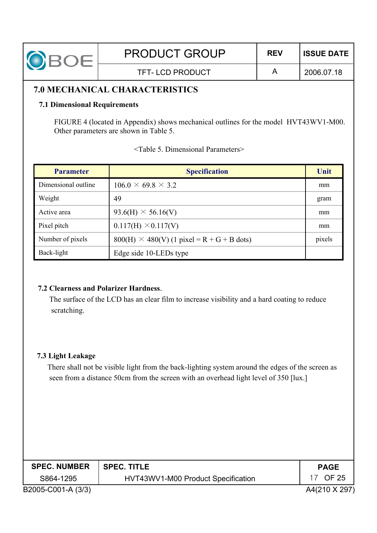| OBOE                                                                                 | <b>PRODUCT GROUP</b>   | <b>REV</b> | <b>ISSUE DATE</b> |  |  |
|--------------------------------------------------------------------------------------|------------------------|------------|-------------------|--|--|
|                                                                                      | <b>TFT-LCD PRODUCT</b> | A          | 2006.07.18        |  |  |
| <b>7.0 MECHANICAL CHARACTERISTICS</b>                                                |                        |            |                   |  |  |
| <b>7.1 Dimensional Requirements</b>                                                  |                        |            |                   |  |  |
| FIGURE 4 (located in Appendix) shows mechanical outlines for the model HVT43WV1-M00. |                        |            |                   |  |  |
| Other parameters are shown in Table 5.                                               |                        |            |                   |  |  |

| <b>Parameter</b>    | <b>Specification</b>                              | Unit   |
|---------------------|---------------------------------------------------|--------|
| Dimensional outline | $106.0 \times 69.8 \times 3.2$                    | mm     |
| Weight              | 49                                                | gram   |
| Active area         | $93.6(H) \times 56.16(V)$                         | mm     |
| Pixel pitch         | $0.117(H) \times 0.117(V)$                        | mm     |
| Number of pixels    | $800(H) \times 480(V)$ (1 pixel = R + G + B dots) | pixels |
| Back-light          | Edge side 10-LEDs type                            |        |

|  |  | <table 5.="" dimensional="" parameters=""></table> |
|--|--|----------------------------------------------------|
|  |  |                                                    |

#### **7.2 Clearness and Polarizer Hardness**.

The surface of the LCD has an clear film to increase visibility and a hard coating to reduce scratching.

#### **7.3 Light Leakage**

There shall not be visible light from the back-lighting system around the edges of the screen as seen from a distance 50cm from the screen with an overhead light level of 350 [lux.]

| <b>SPEC. NUMBER</b> | <b>SPEC. TITLE</b>                 | <b>PAGE</b>   |
|---------------------|------------------------------------|---------------|
| S864-1295           | HVT43WV1-M00 Product Specification | OF 25         |
| B2005-C001-A (3/3)  |                                    | A4(210 X 297) |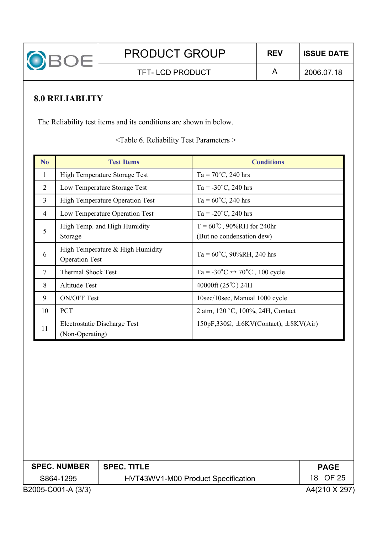

TFT-LCD PRODUCT A

**8.0 RELIABLITY**

The Reliability test items and its conditions are shown in below.

<Table 6. Reliability Test Parameters >

| N <sub>o</sub> | <b>Test Items</b>                                         | <b>Conditions</b>                                                   |
|----------------|-----------------------------------------------------------|---------------------------------------------------------------------|
| 1              | <b>High Temperature Storage Test</b>                      | $Ta = 70^{\circ}C$ , 240 hrs                                        |
| 2              | Low Temperature Storage Test                              | Ta = $-30^{\circ}$ C, 240 hrs                                       |
| $\overline{3}$ | <b>High Temperature Operation Test</b>                    | $Ta = 60^{\circ}C$ , 240 hrs                                        |
| 4              | Low Temperature Operation Test                            | $Ta = -20^{\circ}C$ , 240 hrs                                       |
| 5              | High Temp. and High Humidity<br>Storage                   | $T = 60^{\circ}C$ , 90%RH for 240hr<br>(But no condensation dew)    |
| 6              | High Temperature & High Humidity<br><b>Operation Test</b> | $Ta = 60^{\circ}C$ , 90%RH, 240 hrs                                 |
| $\overline{7}$ | <b>Thermal Shock Test</b>                                 | Ta = $-30^{\circ}$ C $\leftrightarrow$ 70 <sup>°</sup> C, 100 cycle |
| 8              | <b>Altitude Test</b>                                      | 40000ft (25℃) 24H                                                   |
| 9              | <b>ON/OFF Test</b>                                        | 10sec/10sec, Manual 1000 cycle                                      |
| 10             | <b>PCT</b>                                                | 2 atm, 120 °C, 100%, 24H, Contact                                   |
| 11             | Electrostatic Discharge Test<br>(Non-Operating)           | $150pF,330\Omega$ , $\pm 6KV(Context), \pm 8KV(Air)$                |

| <b>SPEC. NUMBER</b> | SPEC. TITLE                        | <b>PAGE</b>   |
|---------------------|------------------------------------|---------------|
| S864-1295           | HVT43WV1-M00 Product Specification | 18 OF 25      |
| B2005-C001-A (3/3)  |                                    | A4(210 X 297) |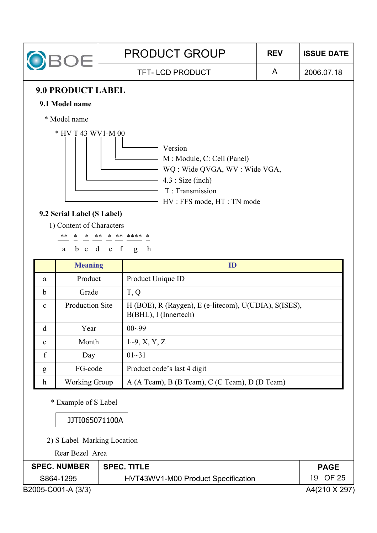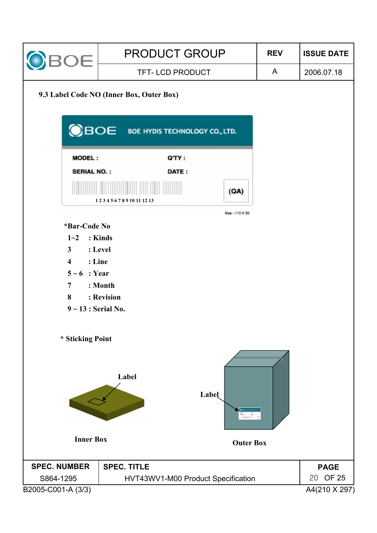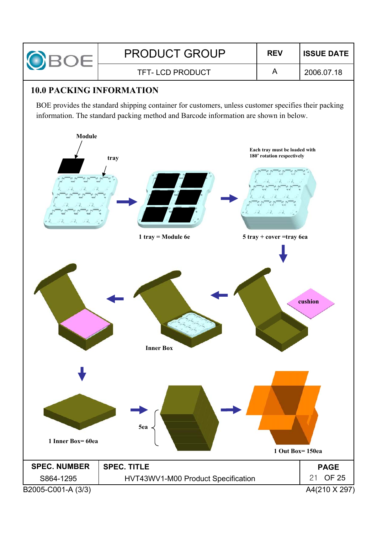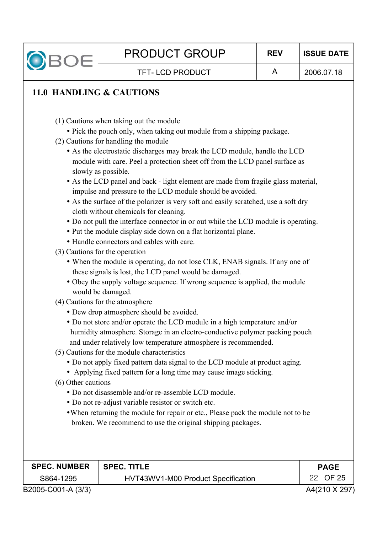

2006.07.18

- (1) Cautions when taking out the module
- Pick the pouch only, when taking out module from a shipping package.
- (2) Cautions for handling the module
	- As the electrostatic discharges may break the LCD module, handle the LCD module with care. Peel a protection sheet off from the LCD panel surface as slowly as possible.
	- As the LCD panel and back light element are made from fragile glass material, impulse and pressure to the LCD module should be avoided.
	- As the surface of the polarizer is very soft and easily scratched, use a soft dry cloth without chemicals for cleaning.
	- Do not pull the interface connector in or out while the LCD module is operating.
	- Put the module display side down on a flat horizontal plane.
	- Handle connectors and cables with care.
- (3) Cautions for the operation
	- When the module is operating, do not lose CLK, ENAB signals. If any one of these signals is lost, the LCD panel would be damaged.
	- Obey the supply voltage sequence. If wrong sequence is applied, the module would be damaged.
- (4) Cautions for the atmosphere
	- Dew drop atmosphere should be avoided.
	- Do not store and/or operate the LCD module in a high temperature and/or humidity atmosphere. Storage in an electro-conductive polymer packing pouch and under relatively low temperature atmosphere is recommended.
- (5) Cautions for the module characteristics
	- Do not apply fixed pattern data signal to the LCD module at product aging.
	- Applying fixed pattern for a long time may cause image sticking.
- (6) Other cautions
	- Do not disassemble and/or re-assemble LCD module.
	- Do not re-adjust variable resistor or switch etc.
	- When returning the module for repair or etc., Please pack the module not to be broken. We recommend to use the original shipping packages.

| <b>SPEC. NUMBER</b> | <b>SPEC. TITLE</b>                 | <b>PAGE</b>   |
|---------------------|------------------------------------|---------------|
| S864-1295           | HVT43WV1-M00 Product Specification | 22 OF 25      |
| B2005-C001-A (3/3)  |                                    | A4(210 X 297) |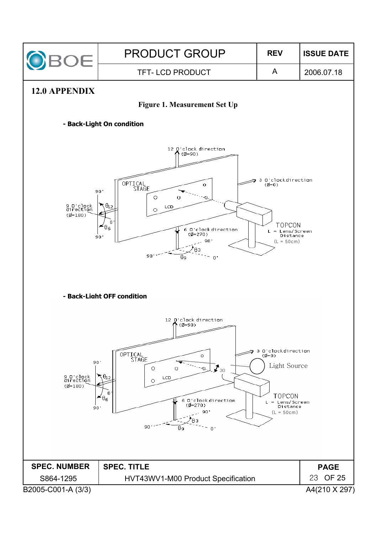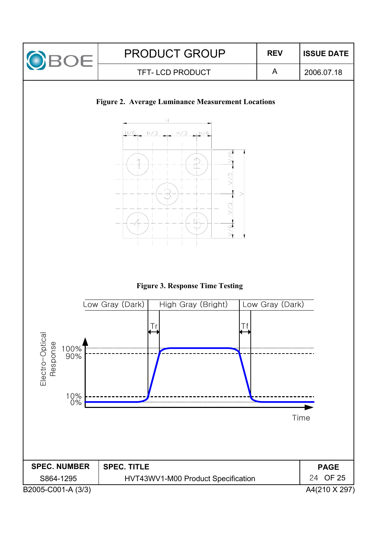